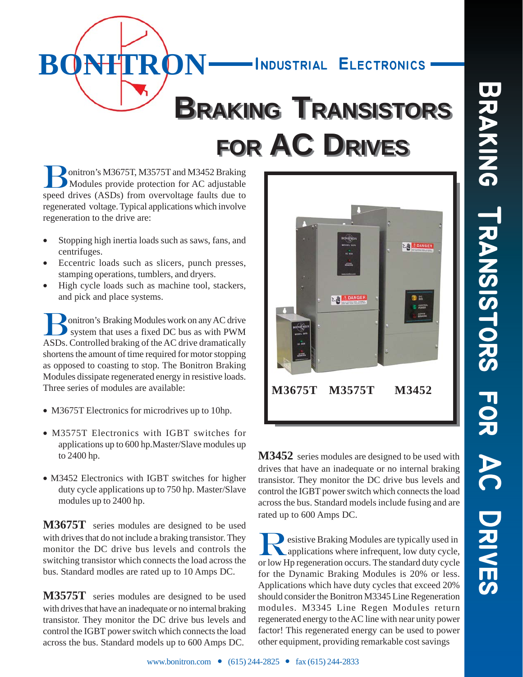

Bonitron's M3675T, M3575T and M3452 Braking Modules provide protection for AC adjustable speed drives (ASDs) from overvoltage faults due to regenerated voltage. Typical applications which involve regeneration to the drive are:

- Stopping high inertia loads such as saws, fans, and centrifuges.
- Eccentric loads such as slicers, punch presses, stamping operations, tumblers, and dryers.
- High cycle loads such as machine tool, stackers, and pick and place systems.

**Donitron's Braking Modules work on any AC drive**  system that uses a fixed DC bus as with PWM ASDs. Controlled braking of the AC drive dramatically shortens the amount of time required for motor stopping as opposed to coasting to stop. The Bonitron Braking Modules dissipate regenerated energy in resistive loads. Three series of modules are available:

- M3675T Electronics for microdrives up to 10hp.
- M3575T Electronics with IGBT switches for applications up to 600 hp.Master/Slave modules up to 2400 hp.
- M3452 Electronics with IGBT switches for higher duty cycle applications up to 750 hp. Master/Slave modules up to 2400 hp.

**M3675T** series modules are designed to be used with drives that do not include a braking transistor. They monitor the DC drive bus levels and controls the switching transistor which connects the load across the bus. Standard modles are rated up to 10 Amps DC.

**M3575T** series modules are designed to be used with drives that have an inadequate or no internal braking transistor. They monitor the DC drive bus levels and control the IGBT power switch which connects the load across the bus. Standard models up to 600 Amps DC.



**M3452** series modules are designed to be used with drives that have an inadequate or no internal braking transistor. They monitor the DC drive bus levels and control the IGBT power switch which connects the load across the bus. Standard models include fusing and are rated up to 600 Amps DC.

**Resistive Braking Modules are typically used in applications where infrequent, low duty cycle,** or low Hp regeneration occurs. The standard duty cycle for the Dynamic Braking Modules is 20% or less. Applications which have duty cycles that exceed 20% should consider the Bonitron M3345 Line Regeneration modules. M3345 Line Regen Modules return regenerated energy to the AC line with near unity power factor! This regenerated energy can be used to power other equipment, providing remarkable cost savings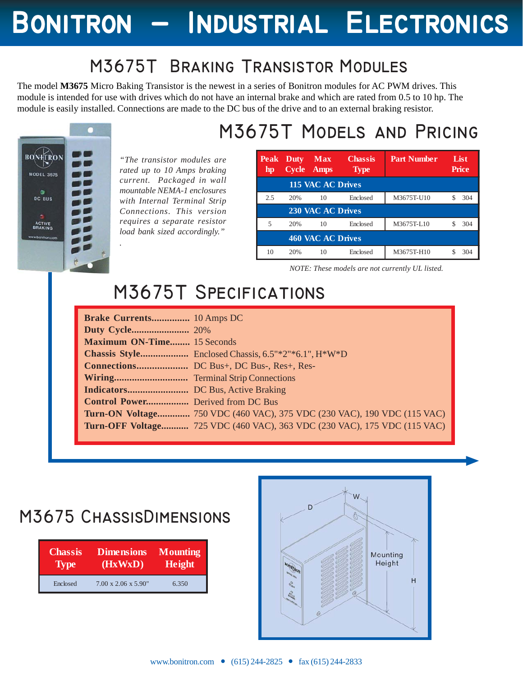# **Bonitron - Industrial Electronics Bonitron - Industrial Electronics Bonitron Electronics**

### **M3675T Braking Transistor Modules**

The model **M3675** Micro Baking Transistor is the newest in a series of Bonitron modules for AC PWM drives. This module is intended for use with drives which do not have an internal brake and which are rated from 0.5 to 10 hp. The module is easily installed. Connections are made to the DC bus of the drive and to an external braking resistor.



*"The transistor modules are rated up to 10 Amps braking current. Packaged in wall mountable NEMA-1 enclosures with Internal Terminal Strip Connections. This version requires a separate resistor load bank sized accordingly." .*

## **M3675T Models and Pricing**

| <b>Peak</b><br>hp | Duty<br><b>Cycle</b> | <b>Max</b><br><b>Amps</b> | <b>Chassis</b><br><b>Type</b> | <b>Part Number</b> | List<br><b>Price</b> |
|-------------------|----------------------|---------------------------|-------------------------------|--------------------|----------------------|
|                   |                      | 115 VAC AC Drives         |                               |                    |                      |
| 2.5               | 20%                  | 10                        | Enclosed                      | M3675T-U10         | 304                  |
|                   |                      | 230 VAC AC Drives         |                               |                    |                      |
| 5                 | 20%                  | 10                        | Enclosed                      | M3675T-L10         | 304                  |
|                   |                      | 460 VAC AC Drives         |                               |                    |                      |
| 10                | 20%                  | 10                        | Enclosed                      | M3675T-H10         | 304                  |

*NOTE: These models are not currently UL listed.*

## **M3675T Specifications**

| Brake Currents 10 Amps DC         |                                                                                        |
|-----------------------------------|----------------------------------------------------------------------------------------|
|                                   |                                                                                        |
| <b>Maximum ON-Time</b> 15 Seconds |                                                                                        |
|                                   | <b>Chassis Style</b> Enclosed Chassis, $6.5^{\circ*}2^{\circ*}6.1^{\circ}$ , $H^*W^*D$ |
|                                   |                                                                                        |
|                                   |                                                                                        |
|                                   |                                                                                        |
| Control Power Derived from DC Bus |                                                                                        |
|                                   | <b>Turn-ON Voltage</b> 750 VDC (460 VAC), 375 VDC (230 VAC), 190 VDC (115 VAC)         |
|                                   | <b>Turn-OFF Voltage</b> 725 VDC (460 VAC), 363 VDC (230 VAC), 175 VDC (115 VAC)        |
|                                   |                                                                                        |

### **M3675 ChassisDimensions**

| <b>Chassis</b> | <b>Dimensions</b>                | <b>Mounting</b> |
|----------------|----------------------------------|-----------------|
| <b>Type</b>    | (HxWxD)                          | <b>Height</b>   |
| Enclosed       | $7.00 \times 2.06 \times 5.90$ " | 6.350           |

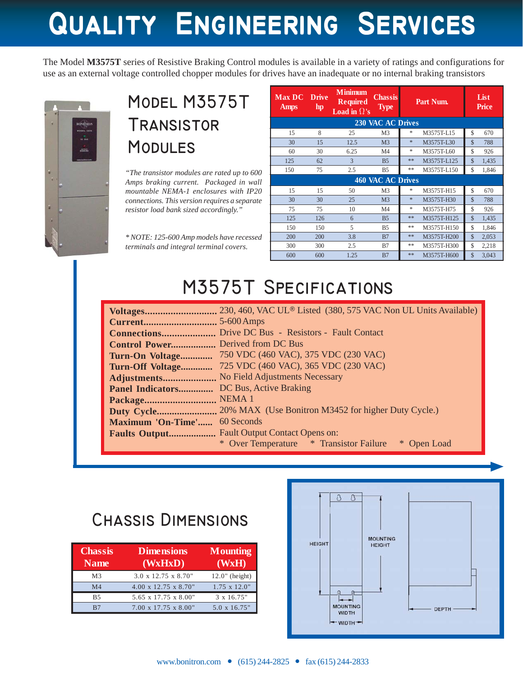# **Quality Engineering Services Quality Engineering Services Quality Engineering Services**

The Model **M3575T** series of Resistive Braking Control modules is available in a variety of ratings and configurations for use as an external voltage controlled chopper modules for drives have an inadequate or no internal braking transistors



### **Model M3575T Transistor Modules**

*"The transistor modules are rated up to 600 Amps braking current. Packaged in wall mountable NEMA-1 enclosures with IP20 connections. This version requires a separate resistor load bank sized accordingly."*

*\* NOTE: 125-600 Amp models have recessed terminals and integral terminal covers.*

| <b>Max DC</b><br><b>Amps</b> | <b>Drive</b><br>hp. | <b>Minimum</b><br><b>Required</b><br>Load in $\Omega$ 's | <b>Chassis</b><br><b>Type</b> |        | Part Num.   | List<br><b>Price</b>   |  |  |
|------------------------------|---------------------|----------------------------------------------------------|-------------------------------|--------|-------------|------------------------|--|--|
|                              |                     |                                                          | <b>230 VAC AC Drives</b>      |        |             |                        |  |  |
| 15                           | 8                   | 25                                                       | M3                            | *      | M3575T-L15  | \$<br>670              |  |  |
| 30                           | 15                  | 12.5                                                     | M <sub>3</sub>                | $\ast$ | M3575T-L30  | $\mathcal{S}$<br>788   |  |  |
| 60                           | 30                  | 6.25                                                     | M4                            | $\ast$ | M3575T-L60  | \$<br>926              |  |  |
| 125                          | 62                  | 3                                                        | B <sub>5</sub>                | **     | M3575T-L125 | $\mathcal{S}$<br>1,435 |  |  |
| 150                          | 75                  | 2.5                                                      | B <sub>5</sub>                | **     | M3575T-L150 | \$<br>1,846            |  |  |
|                              | 460 VAC AC Drives   |                                                          |                               |        |             |                        |  |  |
| 15                           | 15                  | 50                                                       | M3                            | *      | M3575T-H15  | \$<br>670              |  |  |
| 30                           | 30                  | 25                                                       | M <sub>3</sub>                | $\ast$ | M3575T-H30  | $\mathcal{S}$<br>788   |  |  |
| 75                           | 75                  | 10                                                       | M <sub>4</sub>                | $\ast$ | M3575T-H75  | \$<br>926              |  |  |
| 125                          | 126                 | 6                                                        | B <sub>5</sub>                | **     | M3575T-H125 | $\mathcal{S}$<br>1,435 |  |  |
| 150                          | 150                 | 5                                                        | B5                            | **     | M3575T-H150 | \$<br>1,846            |  |  |
| 200                          | 200                 | 3.8                                                      | B7                            | **     | M3575T-H200 | $\mathcal{S}$<br>2,053 |  |  |
| 300                          | 300                 | 2.5                                                      | B7                            | **     | M3575T-H300 | \$<br>2,218            |  |  |
| 600                          | 600                 | 1.25                                                     | B7                            | **     | M3575T-H600 | $\mathcal{S}$<br>3,043 |  |  |

## **M3575T Specifications**

| Voltages                     | 230, 460, VAC UL® Listed (380, 575 VAC Non UL Units Available) |
|------------------------------|----------------------------------------------------------------|
| Current                      | $5-600$ Amps                                                   |
| Connections                  | Drive DC Bus - Resistors - Fault Contact                       |
|                              |                                                                |
| Turn-On Voltage              | 750 VDC (460 VAC), 375 VDC (230 VAC)                           |
| Turn-Off Voltage             | 725 VDC (460 VAC), 365 VDC (230 VAC)                           |
| Adjustments                  | No Field Adjustments Necessary                                 |
| Panel Indicators             | DC Bus, Active Braking                                         |
| Package                      | NEMA <sub>1</sub>                                              |
| Duty Cycle                   | 20% MAX (Use Bonitron M3452 for higher Duty Cycle.)            |
| Maximum 'On-Time' 60 Seconds |                                                                |
| <b>Faults Output</b>         | <b>Fault Output Contact Opens on:</b>                          |
|                              | * Over Temperature * Transistor Failure<br>* Open Load         |

#### **Chassis Dimensions**

| <b>Chassis</b><br><b>Name</b> | <b>Dimensions</b><br>(WxHxD)      | <b>Mounting</b><br>(WxH) |
|-------------------------------|-----------------------------------|--------------------------|
| M <sub>3</sub>                | $3.0 \times 12.75 \times 8.70$ "  | $12.0$ " (height)        |
| M <sub>4</sub>                | $4.00 \times 12.75 \times 8.70$ " | $1.75 \times 12.0$ "     |
| B <sub>5</sub>                | 5.65 x 17.75 x 8.00"              | 3 x 16.75"               |
| R7                            | $7.00 \times 17.75 \times 8.00$ " | 5.0 x 16.75"             |